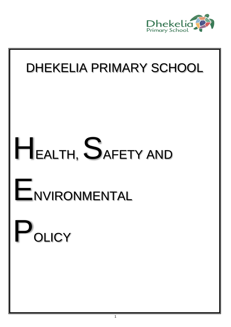

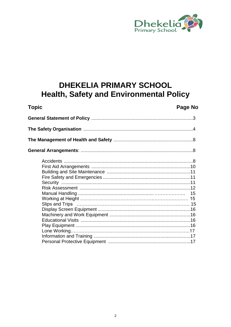

# **DHEKELIA PRIMARY SCHOOL Health, Safety and Environmental Policy**

| <b>Topic</b> | Page No |
|--------------|---------|
|              |         |
|              |         |
|              |         |
|              |         |
|              |         |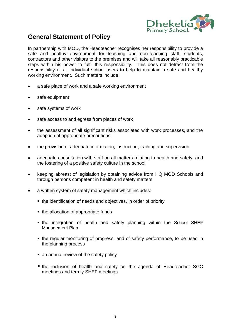

# **General Statement of Policy**

In partnership with MOD, the Headteacher recognises her responsibility to provide a safe and healthy environment for teaching and non-teaching staff, students, contractors and other visitors to the premises and will take all reasonably practicable steps within his power to fulfil this responsibility. This does not detract from the responsibility of all individual school users to help to maintain a safe and healthy working environment. Such matters include:

- a safe place of work and a safe working environment
- safe equipment
- safe systems of work
- safe access to and egress from places of work
- the assessment of all significant risks associated with work processes, and the adoption of appropriate precautions
- the provision of adequate information, instruction, training and supervision
- adequate consultation with staff on all matters relating to health and safety, and the fostering of a positive safety culture in the school
- keeping abreast of legislation by obtaining advice from HQ MOD Schools and through persons competent in health and safety matters
- a written system of safety management which includes:
	- the identification of needs and objectives, in order of priority
	- the allocation of appropriate funds
	- the integration of health and safety planning within the School SHEF Management Plan
	- the regular monitoring of progress, and of safety performance, to be used in the planning process
	- an annual review of the safety policy
	- the inclusion of health and safety on the agenda of Headteacher SGC meetings and termly SHEF meetings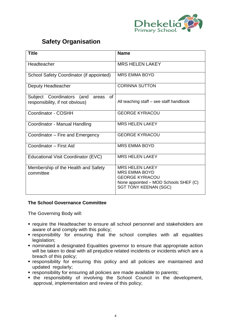

# **Safety Organisation**

| <b>Title</b>                                                                | <b>Name</b>                                                                                                                                       |
|-----------------------------------------------------------------------------|---------------------------------------------------------------------------------------------------------------------------------------------------|
| Headteacher                                                                 | <b>MRS HELEN LAKEY</b>                                                                                                                            |
| School Safety Coordinator (if appointed)                                    | <b>MRS EMMA BOYD</b>                                                                                                                              |
| Deputy Headteacher                                                          | <b>CORINNA SUTTON</b>                                                                                                                             |
| Subject Coordinators (and<br>0f<br>areas<br>responsibility, if not obvious) | All teaching staff – see staff handbook                                                                                                           |
| Coordinator - COSHH                                                         | <b>GEORGE KYRIACOU</b>                                                                                                                            |
| Coordinator - Manual Handling                                               | <b>MRS HELEN LAKEY</b>                                                                                                                            |
| Coordinator – Fire and Emergency                                            | <b>GEORGE KYRIACOU</b>                                                                                                                            |
| Coordinator - First Aid                                                     | <b>MRS EMMA BOYD</b>                                                                                                                              |
| Educational Visit Coordinator (EVC)                                         | <b>MRS HELEN LAKEY</b>                                                                                                                            |
| Membership of the Health and Safety<br>committee                            | <b>MRS HELEN LAKEY</b><br><b>MRS EMMA BOYD</b><br><b>GEORGE KYRIACOU</b><br>None appointed - MOD Schools SHEF (C)<br><b>SGT TONY KEENAN (SGC)</b> |

# **The School Governance Committee**

The Governing Body will:

- require the Headteacher to ensure all school personnel and stakeholders are aware of and comply with this policy;
- responsibility for ensuring that the school complies with all equalities legislation;
- nominated a designated Equalities governor to ensure that appropriate action will be taken to deal with all prejudice related incidents or incidents which are a breach of this policy;
- responsibility for ensuring this policy and all policies are maintained and updated regularly;
- responsibility for ensuring all policies are made available to parents;
- the responsibility of involving the School Council in the development, approval, implementation and review of this policy;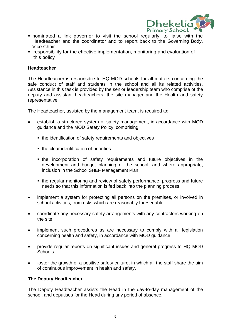

- nominated a link governor to visit the school regularly, to liaise with the Headteacher and the coordinator and to report back to the Governing Body, Vice Chair
- responsibility for the effective implementation, monitoring and evaluation of this policy

#### **Headteacher**

The Headteacher is responsible to HQ MOD schools for all matters concerning the safe conduct of staff and students in the school and all its related activities. Assistance in this task is provided by the senior leadership team who comprise of the deputy and assistant headteachers, the site manager and the Health and safety representative.

The Headteacher, assisted by the management team, is required to:

- establish a structured system of safety management, in accordance with MOD guidance and the MOD Safety Policy, comprising:
	- the identification of safety requirements and objectives
	- the clear identification of priorities
	- the incorporation of safety requirements and future objectives in the development and budget planning of the school, and where appropriate, inclusion in the School SHEF Management Plan
	- the regular monitoring and review of safety performance, progress and future needs so that this information is fed back into the planning process.
- implement a system for protecting all persons on the premises, or involved in school activities, from risks which are reasonably foreseeable
- coordinate any necessary safety arrangements with any contractors working on the site
- implement such procedures as are necessary to comply with all legislation concerning health and safety, in accordance with MOD guidance
- provide regular reports on significant issues and general progress to HQ MOD **Schools**
- foster the growth of a positive safety culture, in which all the staff share the aim of continuous improvement in health and safety.

#### **The Deputy Headteacher**

The Deputy Headteacher assists the Head in the day-to-day management of the school, and deputises for the Head during any period of absence.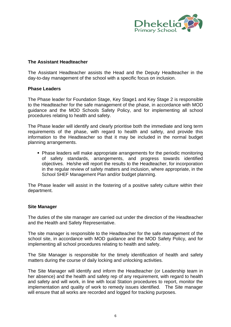

# **The Assistant Headteacher**

The Assistant Headteacher assists the Head and the Deputy Headteacher in the day-to-day management of the school with a specific focus on inclusion.

#### **Phase Leaders**

The Phase leader for Foundation Stage, Key Stage1 and Key Stage 2 is responsible to the Headteacher for the safe management of the phase, in accordance with MOD guidance and the MOD Schools Safety Policy, and for implementing all school procedures relating to health and safety.

The Phase leader will identify and clearly prioritise both the immediate and long term requirements of the phase, with regard to health and safety, and provide this information to the Headteacher so that it may be included in the normal budget planning arrangements.

 Phase leaders will make appropriate arrangements for the periodic monitoring of safety standards, arrangements, and progress towards identified objectives. He/she will report the results to the Headteacher, for incorporation in the regular review of safety matters and inclusion, where appropriate, in the School SHEF Management Plan and/or budget planning.

The Phase leader will assist in the fostering of a positive safety culture within their department.

#### **Site Manager**

The duties of the site manager are carried out under the direction of the Headteacher and the Health and Safety Representative.

The site manager is responsible to the Headteacher for the safe management of the school site, in accordance with MOD guidance and the MOD Safety Policy, and for implementing all school procedures relating to health and safety.

The Site Manager is responsible for the timely identification of health and safety matters during the course of daily locking and unlocking activities.

The Site Manager will identify and inform the Headteacher (or Leadership team in her absence) and the health and safety rep of any requirement, with regard to health and safety and will work, in line with local Station procedures to report, monitor the implementation and quality of work to remedy issues identified. The Site manager will ensure that all works are recorded and logged for tracking purposes.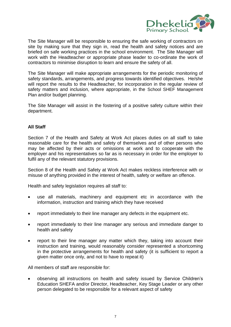

The Site Manager will be responsible to ensuring the safe working of contractors on site by making sure that they sign in, read the health and safety notices and are briefed on safe working practices in the school environment. The Site Manager will work with the Headteacher or appropriate phase leader to co-ordinate the work of contractors to minimise disruption to learn and ensure the safety of all.

The Site Manager will make appropriate arrangements for the periodic monitoring of safety standards, arrangements, and progress towards identified objectives. He/she will report the results to the Headteacher, for incorporation in the regular review of safety matters and inclusion, where appropriate, in the School SHEF Management Plan and/or budget planning.

The Site Manager will assist in the fostering of a positive safety culture within their department.

# **All Staff**

Section 7 of the Health and Safety at Work Act places duties on all staff to take reasonable care for the health and safety of themselves and of other persons who may be affected by their acts or omissions at work and to cooperate with the employer and his representatives so far as is necessary in order for the employer to fulfil any of the relevant statutory provisions.

Section 8 of the Health and Safety at Work Act makes reckless interference with or misuse of anything provided in the interest of health, safety or welfare an offence.

Health and safety legislation requires all staff to:

- use all materials, machinery and equipment etc in accordance with the information, instruction and training which they have received
- report immediately to their line manager any defects in the equipment etc.
- report immediately to their line manager any serious and immediate danger to health and safety
- report to their line manager any matter which they, taking into account their instruction and training, would reasonably consider represented a shortcoming in the protective arrangements for health and safety (it is sufficient to report a given matter once only, and not to have to repeat it)

All members of staff are responsible for:

 observing all instructions on health and safety issued by Service Children's Education SHEFA and/or Director, Headteacher, Key Stage Leader or any other person delegated to be responsible for a relevant aspect of safety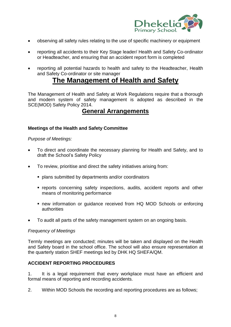

- observing all safety rules relating to the use of specific machinery or equipment
- reporting all accidents to their Key Stage leader/ Health and Safety Co-ordinator or Headteacher, and ensuring that an accident report form is completed
- reporting all potential hazards to health and safety to the Headteacher, Health and Safety Co-ordinator or site manager

# **The Management of Health and Safety**

The Management of Health and Safety at Work Regulations require that a thorough and modern system of safety management is adopted as described in the SCE(MOD) Safety Policy 2014.

# **General Arrangements**

# **Meetings of the Health and Safety Committee**

*Purpose of Meetings:*

- To direct and coordinate the necessary planning for Health and Safety, and to draft the School's Safety Policy
- To review, prioritise and direct the safety initiatives arising from:
	- plans submitted by departments and/or coordinators
	- **•** reports concerning safety inspections, audits, accident reports and other means of monitoring performance
	- new information or guidance received from HQ MOD Schools or enforcing authorities
- To audit all parts of the safety management system on an ongoing basis.

#### *Frequency of Meetings*

Termly meetings are conducted; minutes will be taken and displayed on the Health and Safety board in the school office. The school will also ensure representation at the quarterly station SHEF meetings led by DHK HQ SHEFA/QM.

# **ACCIDENT REPORTING PROCEDURES**

1. It is a legal requirement that every workplace must have an efficient and formal means of reporting and recording accidents.

2. Within MOD Schools the recording and reporting procedures are as follows;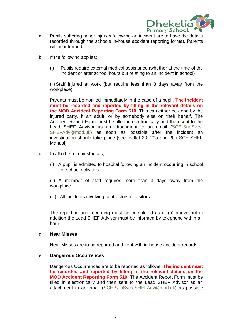

- a. Pupils suffering minor injuries following an incident are to have the details recorded through the schools in-house accident reporting format. Parents will be informed.
- b. If the following applies;
	- (i) Pupils require external medical assistance (whether at the time of the incident or after school hours but relating to an incident in school)

(ii) Staff injured at work (but require less than 3 days away from the workplace).

Parents must be notified immediately in the case of a pupil. **The incident must be recorded and reported by filling in the relevant details on the MOD Accident Reporting Form 510.** This can either be done by the injured party, if an adult, or by somebody else on their behalf. The Accident Report Form must be filled in electronically and then sent to the Lead SHEF Advisor as an attachment to an email [\(SCE-SupSvcs-](mailto:SCE-SupSvcs-SHEFAdv@mod.uk)[SHEFAdv@mod.uk\)](mailto:SCE-SupSvcs-SHEFAdv@mod.uk) as soon as possible after the incident an investigation should take place (see leaflet 20, 20a and 20b SCE SHEF Manual)

- c. In all other circumstances;
	- (i) A pupil is admitted to hospital following an incident occurring in school or school activities

(ii) A member of staff requires more than 3 days away from the workplace

(iii) All incidents involving contractors or visitors

The reporting and recording must be completed as in (b) above but in addition the Lead SHEF Advisor must be informed by telephone within an hour.

#### d. **Near Misses:**

Near Misses are to be reported and kept with in-house accident records.

#### e. **Dangerous Occurrences:**

Dangerous Occurrences are to be reported as follows: **The incident must be recorded and reported by filling in the relevant details on the MOD Accident Reporting Form 510.** The Accident Report Form must be filled in electronically and then sent to the Lead SHEF Advisor as an attachment to an email [\(SCE-SupSvcs-SHEFAdv@mod.uk\)](mailto:SCE-SupSvcs-SHEFAdv@mod.uk) as possible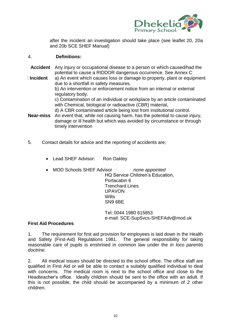

after the incident an investigation should take place (see leaflet 20, 20a and 20b SCE SHEF Manual)

### 4. **Definitions:**

**Accident** Any injury or occupational disease to a person or which caused/had the potential to cause a RIDDOR dangerous occurrence. See Annex C

I **Incident** a) An event which causes loss or damage to property, plant or equipment due to a shortfall in safety measures. b) An intervention or enforcement notice from an internal or external regulatory body. c) Contamination of an individual or workplace by an article contaminated with Chemical, biological or radioactive (CBR) material,

d) A CBR contaminated article being lost from institutional control.

- **Near-miss** An event that, while not causing harm, has the potential to cause injury, damage or ill health but which was avoided by circumstance or through timely intervention
- 5. Contact details for advice and the reporting of accidents are;
	- Lead SHEF Advisor: Ron Oakley
	- MOD Schools SHEF Advisor *none appointed*

HQ Service Children's Education, Portacabin 6 Trenchard Lines UPAVON **Wilts** SN9 6BE

Tel: 0044 1980 615853 e-mail: SCE-SupSvcs-SHEFAdv@mod.uk

#### **First Aid Procedures**

1. The requirement for first aid provision for employees is laid down in the Health and Safety (First-Aid) Regulations 1981. The general responsibility for taking reasonable care of pupils is enshrined in common law under the *in loco parentis doctrine*.

2. All medical issues should be directed to the school office. The office staff are qualified in First Aid or will be able to contact a suitably qualified individual to deal with concerns. The medical room is next to the school office and close to the Headteacher's office. Ideally children should be sent to the office with an adult. If this is not possible, the child should be accompanied by a minimum of 2 other children.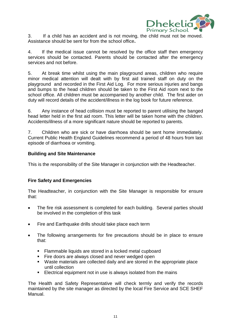

3. If a child has an accident and is not moving, the child must not be moved. Assistance should be sent for from the school office**.**

4. If the medical issue cannot be resolved by the office staff then emergency services should be contacted. Parents should be contacted after the emergency services and not before.

5. At break time whilst using the main playground areas, children who require minor medical attention will dealt with by first aid trained staff on duty on the playground and recorded in the First Aid Log. For more serious injuries and bangs and bumps to the head children should be taken to the First Aid room next to the school office. All children must be accompanied by another child. The first aider on duty will record details of the accident/illness in the log book for future reference.

6. Any instance of head collision must be reported to parent utilising the banged head letter held in the first aid room. This letter will be taken home with the children. Accidents/illness of a more significant nature should be reported to parents.

7. Children who are sick or have diarrhoea should be sent home immediately. Current Public Health England Guidelines recommend a period of 48 hours from last episode of diarrhoea or vomiting.

# **Building and Site Maintenance**

This is the responsibility of the Site Manager in conjunction with the Headteacher.

# **Fire Safety and Emergencies**

The Headteacher, in conjunction with the Site Manager is responsible for ensure that:

- The fire risk assessment is completed for each building. Several parties should be involved in the completion of this task
- Fire and Earthquake drills should take place each term
- The following arrangements for fire precautions should be in place to ensure that:
	- Flammable liquids are stored in a locked metal cupboard
	- Fire doors are always closed and never wedged open
	- Waste materials are collected daily and are stored in the appropriate place until collection
	- **Electrical equipment not in use is always isolated from the mains**

The Health and Safety Representative will check termly and verify the records maintained by the site manager as directed by the local Fire Service and SCE SHEF Manual.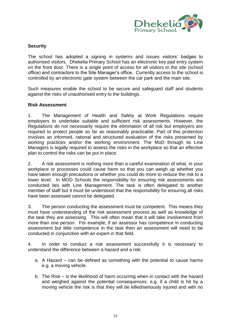

# **Security**

The school has adopted a signing in systems and issues visitors' badges to authorised visitors. Dhekelia Primary School has an electronic key pad entry system on the front door. There is a single point of access for all visitors to the site (school office) and contractors to the Site Manager's office. Currently access to the school is controlled by an electronic gate system between the car park and the main site.

Such measures enable the school to be secure and safeguard staff and students against the risks of unauthorised entry to the buildings.

#### **Risk Assessment**

1. The Management of Health and Safety at Work Regulations require employers to undertake suitable and sufficient risk assessments. However, the Regulations do not necessarily require the elimination of all risk but employers are required to protect people so far as reasonably practicable. Part of this protection involves an informed, rational and structured evaluation of the risks presented by working practices and/or the working environment. The MoD through its Line Managers is legally required to assess the risks in the workplace so that an effective plan to control the risks can be put in place.

2. A risk assessment is nothing more than a careful examination of what, in your workplace or processes could cause harm so that you can weigh up whether you have taken enough precautions or whether you could do more to reduce the risk to a lower level. In MOD Schools the responsibility for ensuring risk assessments are conducted lies with Line Management. The task is often delegated to another member of staff but it must be understood that the responsibility for ensuring all risks have been assessed cannot be delegated.

3. The person conducting the assessment must be competent. This means they must have understanding of the risk assessment process as well as knowledge of the task they are assessing. This will often mean that it will take involvement from more than one person. For example, if an assessor has competence in conducting assessment but little competence in the task then an assessment will need to be conducted in conjunction with an expert in that field.

4. In order to conduct a risk assessment successfully it is necessary to understand the difference between a hazard and a risk:

- a. A Hazard can be defined as something with the potential to cause harms e.g. a moving vehicle.
- b. The Risk is the likelihood of harm occurring when in contact with the hazard and weighed against the potential consequences. e.g. if a child is hit by a moving vehicle the risk is that they will be killed/seriously injured and with no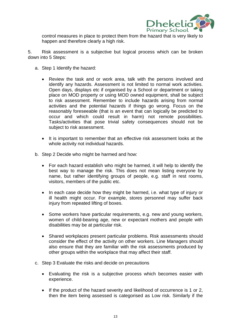

control measures in place to protect them from the hazard that is very likely to happen and therefore clearly a high risk.

5. Risk assessment is a subjective but logical process which can be broken down into 5 Steps:

- a. Step 1 Identify the hazard:
	- Review the task and or work area, talk with the persons involved and identify any hazards. Assessment is not limited to normal work activities. Open days, displays etc if organised by a School or department or taking place on MOD property or using MOD owned equipment, shall be subject to risk assessment. Remember to include hazards arising from normal activities and the potential hazards if things go wrong. Focus on the reasonably foreseeable (that is an event that can logically be predicted to occur and which could result in harm) not remote possibilities. Tasks/activities that pose trivial safety consequences should not be subject to risk assessment.
	- It is important to remember that an effective risk assessment looks at the whole activity not individual hazards.
- b. Step 2 Decide who might be harmed and how:
	- For each hazard establish who might be harmed, it will help to identify the best way to manage the risk. This does not mean listing everyone by name, but rather identifying groups of people, e.g. staff in rest rooms, visitors, members of the public etc.
	- In each case decide how they might be harmed, i.e. what type of injury or ill health might occur. For example, stores personnel may suffer back injury from repeated lifting of boxes.
	- Some workers have particular requirements, e.g. new and young workers, women of child-bearing age, new or expectant mothers and people with disabilities may be at particular risk.
	- Shared workplaces present particular problems. Risk assessments should consider the effect of the activity on other workers. Line Managers should also ensure that they are familiar with the risk assessments produced by other groups within the workplace that may affect their staff.
- c. Step 3 Evaluate the risks and decide on precautions
	- Evaluating the risk is a subjective process which becomes easier with experience.
	- If the product of the hazard severity and likelihood of occurrence is 1 or 2, then the item being assessed is categorised as Low risk. Similarly if the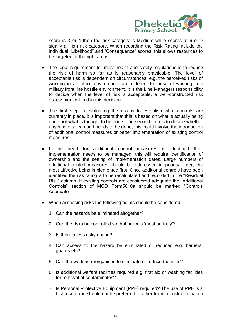

score is 3 or 4 then the risk category is Medium while scores of 6 or 9 signify a High risk category. When recording the Risk Rating include the individual "Likelihood" and "Consequence" scores, this allows resources to be targeted at the right areas.

- The legal requirement for most health and safety regulations is to reduce the risk of harm so far as is reasonably practicable. The level of acceptable risk is dependent on circumstances, e.g. the perceived risks of working in an office environment are different to those of working in a military front line hostile environment. It is the Line Managers responsibility to decide when the level of risk is acceptable, a well-constructed risk assessment will aid in this decision.
- The first step in evaluating the risk is to establish what controls are currently in place, it is important that this is based on what is actually being done not what is thought to be done. The second step is to decide whether anything else can and needs to be done, this could involve the introduction of additional control measures or better implementation of existing control measures.
- If the need for additional control measures is identified their implementation needs to be managed, this will require identification of ownership and the setting of implementation dates. Large numbers of additional control measures should be addressed in priority order, the most affective being implemented first. Once additional controls have been identified the risk rating is to be recalculated and recorded in the "Residual Risk" column. If existing controls are considered adequate the "Additional Controls" section of MOD Form5010a should be marked "Controls Adequate".
- When assessing risks the following points should be considered:
	- 1. Can the hazards be eliminated altogether?
	- 2. Can the risks be controlled so that harm is 'most unlikely'?
	- 3. Is there a less risky option?
	- 4. Can access to the hazard be eliminated or reduced e.g. barriers, guards etc?
	- 5. Can the work be reorganised to eliminate or reduce the risks?
	- 6. Is additional welfare facilities required e.g. first aid or washing facilities for removal of contaminates?
	- 7. Is Personal Protective Equipment (PPE) required? The use of PPE is a last resort and should not be preferred to other forms of risk elimination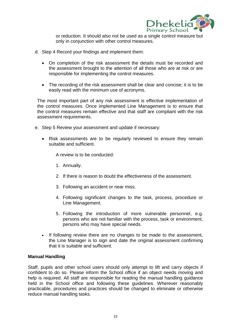

or reduction. It should also not be used as a single control measure but only in conjunction with other control measures.

- d. Step 4 Record your findings and implement them:
	- On completion of the risk assessment the details must be recorded and the assessment brought to the attention of all those who are at risk or are responsible for implementing the control measures.
	- The recording of the risk assessment shall be clear and concise; it is to be easily read with the minimum use of acronyms.

The most important part of any risk assessment is effective implementation of the control measures. Once implemented Line Management is to ensure that the control measures remain effective and that staff are compliant with the risk assessment requirements.

- e. Step 5 Review your assessment and update if necessary:
	- Risk assessments are to be regularly reviewed to ensure they remain suitable and sufficient.

A review is to be conducted:

- 1. Annually.
- 2. If there is reason to doubt the effectiveness of the assessment.
- 3. Following an accident or near miss.
- 4. Following significant changes to the task, process, procedure or Line Management.
- 5. Following the introduction of more vulnerable personnel, e.g. persons who are not familiar with the process, task or environment, persons who may have special needs.
- If following review there are no changes to be made to the assessment, the Line Manager is to sign and date the original assessment confirming that it is suitable and sufficient.

#### **Manual Handling**

Staff, pupils and other school users should only attempt to lift and carry objects if confident to do so. Please inform the School office if an object needs moving and help is required. All staff are responsible for reading the manual handling guidance held in the School office and following these guidelines. Wherever reasonably practicable, procedures and practices should be changed to eliminate or otherwise reduce manual handling tasks.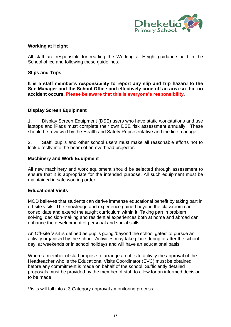

# **Working at Height**

All staff are responsible for reading the Working at Height guidance held in the School office and following these guidelines.

# **Slips and Trips**

**It is a staff member's responsibility to report any slip and trip hazard to the Site Manager and the School Office and effectively cone off an area so that no accident occurs. Please be aware that this is everyone's responsibility**.

# **Display Screen Equipment**

1. Display Screen Equipment (DSE) users who have static workstations and use laptops and iPads must complete their own DSE risk assessment annually. These should be reviewed by the Health and Safety Representative and the line manager.

2. Staff, pupils and other school users must make all reasonable efforts not to look directly into the beam of an overhead projector.

#### **Machinery and Work Equipment**

All new machinery and work equipment should be selected through assessment to ensure that it is appropriate for the intended purpose. All such equipment must be maintained in safe working order.

#### **Educational Visits**

MOD believes that students can derive immense educational benefit by taking part in off-site visits. The knowledge and experience gained beyond the classroom can consolidate and extend the taught curriculum within it. Taking part in problem solving, decision-making and residential experiences both at home and abroad can enhance the development of personal and social skills.

An Off-site Visit is defined as pupils going 'beyond the school gates' to pursue an activity organised by the school. Activities may take place during or after the school day, at weekends or in school holidays and will have an educational basis

Where a member of staff propose to arrange an off-site activity the approval of the Headteacher who is the Educational Visits Coordinator (EVC) must be obtained before any commitment is made on behalf of the school. Sufficiently detailed proposals must be provided by the member of staff to allow for an informed decision to be made.

Visits will fall into a 3 Category approval / monitoring process: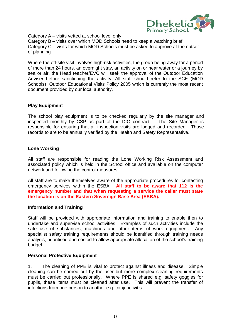

Category A – visits vetted at school level only Category B – visits over which MOD Schools need to keep a watching brief Category C – visits for which MOD Schools must be asked to approve at the outset of planning

Where the off-site visit involves high-risk activities, the group being away for a period of more than 24 hours, an overnight stay, an activity on or near water or a journey by sea or air, the Head teacher/EVC will seek the approval of the Outdoor Education Adviser before sanctioning the activity. All staff should refer to the SCE (MOD Schools) Outdoor Educational Visits Policy 2005 which is currently the most recent document provided by our local authority.

# **Play Equipment**

The school play equipment is to be checked regularly by the site manager and inspected monthly by CSP as part of the DIO contract. The Site Manager is responsible for ensuring that all inspection visits are logged and recorded. Those records to are to be annually verified by the Health and Safety Representative.

#### **Lone Working**

All staff are responsible for reading the Lone Working Risk Assessment and associated policy which is held in the School office and available on the computer network and following the control measures.

All staff are to make themselves aware of the appropriate procedures for contacting emergency services within the ESBA. **All staff to be aware that 112 is the emergency number and that when requesting a service the caller must state the location is on the Eastern Sovereign Base Area (ESBA).**

#### **Information and Training**

Staff will be provided with appropriate information and training to enable then to undertake and supervise school activities. Examples of such activities include the safe use of substances, machines and other items of work equipment. Any specialist safety training requirements should be identified through training needs analysis, prioritised and costed to allow appropriate allocation of the school's training budget.

# **Personal Protective Equipment**

1. The cleaning of PPE is vital to protect against illness and disease. Simple cleaning can be carried out by the user but more complex cleaning requirements must be carried out professionally. Where PPE is shared e.g. safety goggles for pupils, these items must be cleaned after use. This will prevent the transfer of infections from one person to another e.g. conjunctivitis.